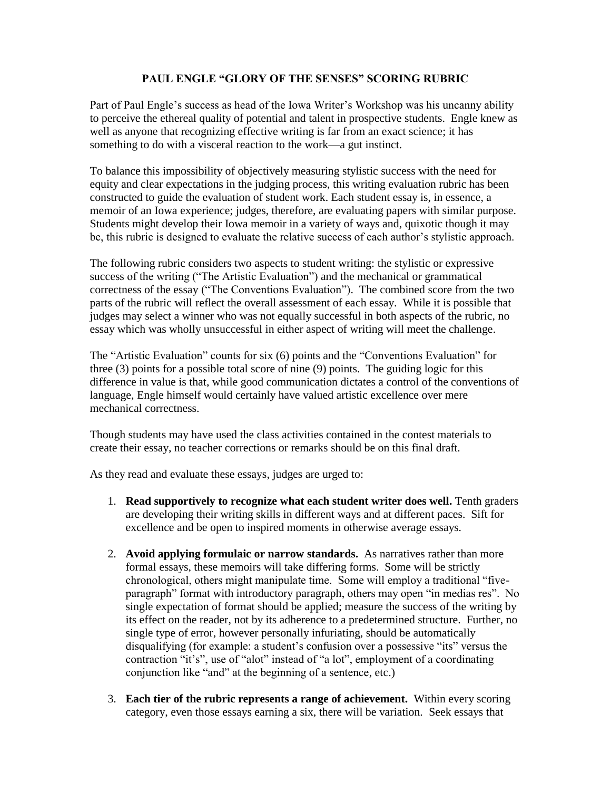## **PAUL ENGLE "GLORY OF THE SENSES" SCORING RUBRIC**

Part of Paul Engle's success as head of the Iowa Writer's Workshop was his uncanny ability to perceive the ethereal quality of potential and talent in prospective students. Engle knew as well as anyone that recognizing effective writing is far from an exact science; it has something to do with a visceral reaction to the work—a gut instinct.

To balance this impossibility of objectively measuring stylistic success with the need for equity and clear expectations in the judging process, this writing evaluation rubric has been constructed to guide the evaluation of student work. Each student essay is, in essence, a memoir of an Iowa experience; judges, therefore, are evaluating papers with similar purpose. Students might develop their Iowa memoir in a variety of ways and, quixotic though it may be, this rubric is designed to evaluate the relative success of each author's stylistic approach.

The following rubric considers two aspects to student writing: the stylistic or expressive success of the writing ("The Artistic Evaluation") and the mechanical or grammatical correctness of the essay ("The Conventions Evaluation"). The combined score from the two parts of the rubric will reflect the overall assessment of each essay. While it is possible that judges may select a winner who was not equally successful in both aspects of the rubric, no essay which was wholly unsuccessful in either aspect of writing will meet the challenge.

The "Artistic Evaluation" counts for six (6) points and the "Conventions Evaluation" for three (3) points for a possible total score of nine (9) points. The guiding logic for this difference in value is that, while good communication dictates a control of the conventions of language, Engle himself would certainly have valued artistic excellence over mere mechanical correctness.

Though students may have used the class activities contained in the contest materials to create their essay, no teacher corrections or remarks should be on this final draft.

As they read and evaluate these essays, judges are urged to:

- 1. **Read supportively to recognize what each student writer does well.** Tenth graders are developing their writing skills in different ways and at different paces. Sift for excellence and be open to inspired moments in otherwise average essays.
- 2. **Avoid applying formulaic or narrow standards.** As narratives rather than more formal essays, these memoirs will take differing forms. Some will be strictly chronological, others might manipulate time. Some will employ a traditional "fiveparagraph" format with introductory paragraph, others may open "in medias res". No single expectation of format should be applied; measure the success of the writing by its effect on the reader, not by its adherence to a predetermined structure. Further, no single type of error, however personally infuriating, should be automatically disqualifying (for example: a student's confusion over a possessive "its" versus the contraction "it's", use of "alot" instead of "a lot", employment of a coordinating conjunction like "and" at the beginning of a sentence, etc.)
- 3. **Each tier of the rubric represents a range of achievement.** Within every scoring category, even those essays earning a six, there will be variation. Seek essays that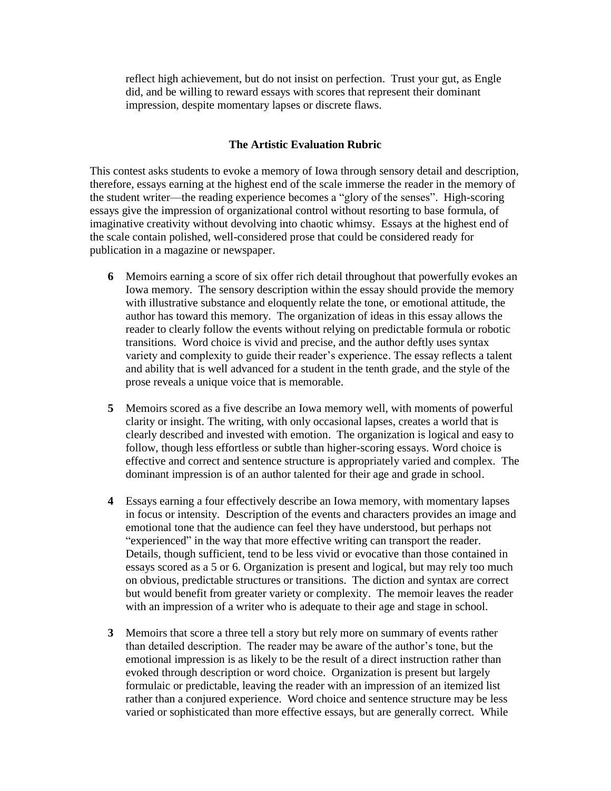reflect high achievement, but do not insist on perfection. Trust your gut, as Engle did, and be willing to reward essays with scores that represent their dominant impression, despite momentary lapses or discrete flaws.

## **The Artistic Evaluation Rubric**

This contest asks students to evoke a memory of Iowa through sensory detail and description, therefore, essays earning at the highest end of the scale immerse the reader in the memory of the student writer—the reading experience becomes a "glory of the senses". High-scoring essays give the impression of organizational control without resorting to base formula, of imaginative creativity without devolving into chaotic whimsy. Essays at the highest end of the scale contain polished, well-considered prose that could be considered ready for publication in a magazine or newspaper.

- **6** Memoirs earning a score of six offer rich detail throughout that powerfully evokes an Iowa memory. The sensory description within the essay should provide the memory with illustrative substance and eloquently relate the tone, or emotional attitude, the author has toward this memory. The organization of ideas in this essay allows the reader to clearly follow the events without relying on predictable formula or robotic transitions. Word choice is vivid and precise, and the author deftly uses syntax variety and complexity to guide their reader's experience. The essay reflects a talent and ability that is well advanced for a student in the tenth grade, and the style of the prose reveals a unique voice that is memorable.
- **5** Memoirs scored as a five describe an Iowa memory well, with moments of powerful clarity or insight. The writing, with only occasional lapses, creates a world that is clearly described and invested with emotion. The organization is logical and easy to follow, though less effortless or subtle than higher-scoring essays. Word choice is effective and correct and sentence structure is appropriately varied and complex. The dominant impression is of an author talented for their age and grade in school.
- **4** Essays earning a four effectively describe an Iowa memory, with momentary lapses in focus or intensity. Description of the events and characters provides an image and emotional tone that the audience can feel they have understood, but perhaps not "experienced" in the way that more effective writing can transport the reader. Details, though sufficient, tend to be less vivid or evocative than those contained in essays scored as a 5 or 6. Organization is present and logical, but may rely too much on obvious, predictable structures or transitions. The diction and syntax are correct but would benefit from greater variety or complexity. The memoir leaves the reader with an impression of a writer who is adequate to their age and stage in school.
- **3** Memoirs that score a three tell a story but rely more on summary of events rather than detailed description. The reader may be aware of the author's tone, but the emotional impression is as likely to be the result of a direct instruction rather than evoked through description or word choice. Organization is present but largely formulaic or predictable, leaving the reader with an impression of an itemized list rather than a conjured experience. Word choice and sentence structure may be less varied or sophisticated than more effective essays, but are generally correct. While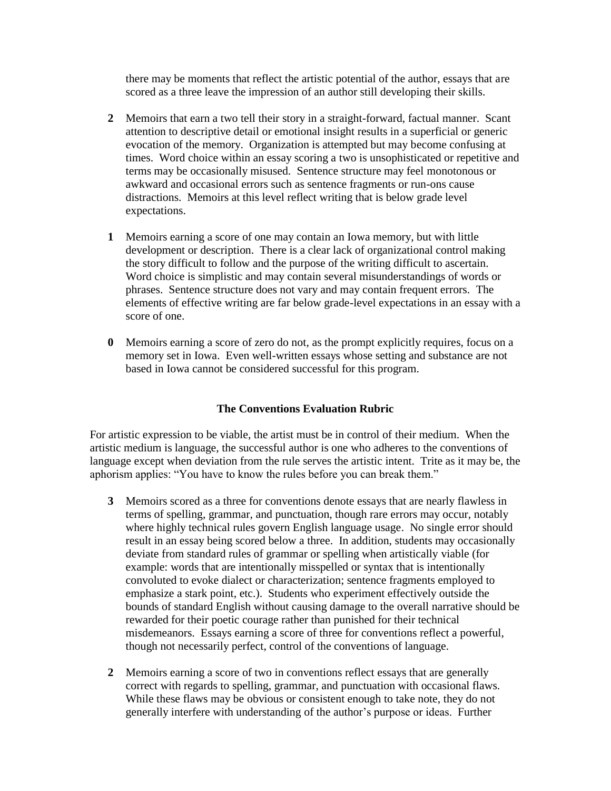there may be moments that reflect the artistic potential of the author, essays that are scored as a three leave the impression of an author still developing their skills.

- **2** Memoirs that earn a two tell their story in a straight-forward, factual manner. Scant attention to descriptive detail or emotional insight results in a superficial or generic evocation of the memory. Organization is attempted but may become confusing at times. Word choice within an essay scoring a two is unsophisticated or repetitive and terms may be occasionally misused. Sentence structure may feel monotonous or awkward and occasional errors such as sentence fragments or run-ons cause distractions. Memoirs at this level reflect writing that is below grade level expectations.
- **1** Memoirs earning a score of one may contain an Iowa memory, but with little development or description. There is a clear lack of organizational control making the story difficult to follow and the purpose of the writing difficult to ascertain. Word choice is simplistic and may contain several misunderstandings of words or phrases. Sentence structure does not vary and may contain frequent errors. The elements of effective writing are far below grade-level expectations in an essay with a score of one.
- **0** Memoirs earning a score of zero do not, as the prompt explicitly requires, focus on a memory set in Iowa. Even well-written essays whose setting and substance are not based in Iowa cannot be considered successful for this program.

## **The Conventions Evaluation Rubric**

For artistic expression to be viable, the artist must be in control of their medium. When the artistic medium is language, the successful author is one who adheres to the conventions of language except when deviation from the rule serves the artistic intent. Trite as it may be, the aphorism applies: "You have to know the rules before you can break them."

- **3** Memoirs scored as a three for conventions denote essays that are nearly flawless in terms of spelling, grammar, and punctuation, though rare errors may occur, notably where highly technical rules govern English language usage. No single error should result in an essay being scored below a three. In addition, students may occasionally deviate from standard rules of grammar or spelling when artistically viable (for example: words that are intentionally misspelled or syntax that is intentionally convoluted to evoke dialect or characterization; sentence fragments employed to emphasize a stark point, etc.). Students who experiment effectively outside the bounds of standard English without causing damage to the overall narrative should be rewarded for their poetic courage rather than punished for their technical misdemeanors. Essays earning a score of three for conventions reflect a powerful, though not necessarily perfect, control of the conventions of language.
- **2** Memoirs earning a score of two in conventions reflect essays that are generally correct with regards to spelling, grammar, and punctuation with occasional flaws. While these flaws may be obvious or consistent enough to take note, they do not generally interfere with understanding of the author's purpose or ideas. Further